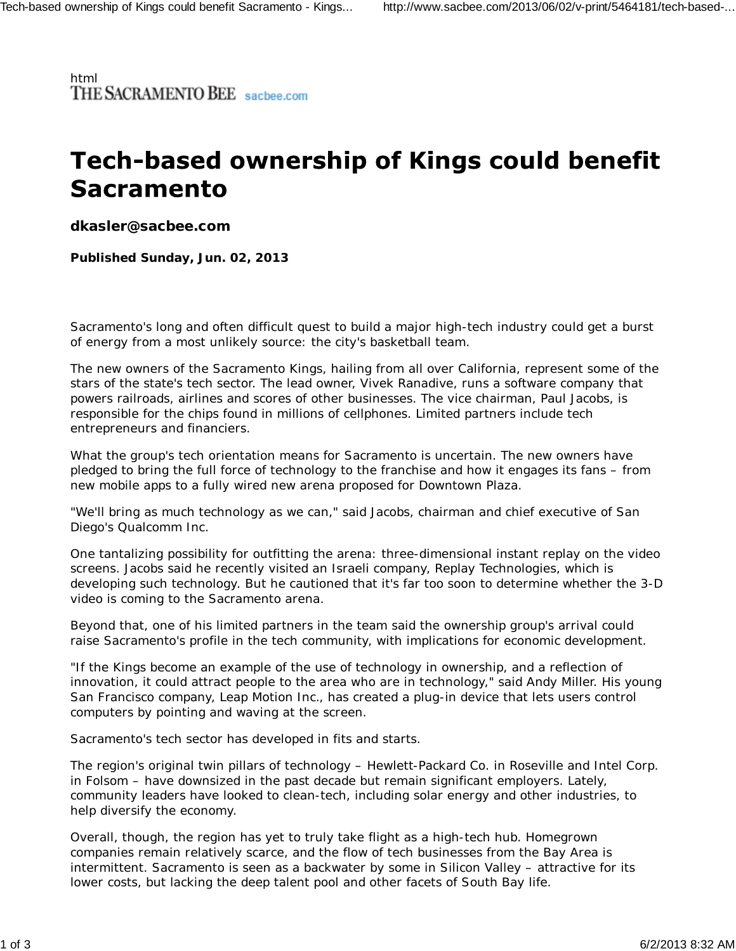html<br>THE SACRAMENTO BEE sacbee.com

## **Tech-based ownership of Kings could benefit Sacramento**

**dkasler@sacbee.com**

**Published Sunday, Jun. 02, 2013**

Sacramento's long and often difficult quest to build a major high-tech industry could get a burst of energy from a most unlikely source: the city's basketball team.

The new owners of the Sacramento Kings, hailing from all over California, represent some of the stars of the state's tech sector. The lead owner, Vivek Ranadive, runs a software company that powers railroads, airlines and scores of other businesses. The vice chairman, Paul Jacobs, is responsible for the chips found in millions of cellphones. Limited partners include tech entrepreneurs and financiers.

What the group's tech orientation means for Sacramento is uncertain. The new owners have pledged to bring the full force of technology to the franchise and how it engages its fans – from new mobile apps to a fully wired new arena proposed for Downtown Plaza.

"We'll bring as much technology as we can," said Jacobs, chairman and chief executive of San Diego's Qualcomm Inc.

One tantalizing possibility for outfitting the arena: three-dimensional instant replay on the video screens. Jacobs said he recently visited an Israeli company, Replay Technologies, which is developing such technology. But he cautioned that it's far too soon to determine whether the 3-D video is coming to the Sacramento arena.

Beyond that, one of his limited partners in the team said the ownership group's arrival could raise Sacramento's profile in the tech community, with implications for economic development.

"If the Kings become an example of the use of technology in ownership, and a reflection of innovation, it could attract people to the area who are in technology," said Andy Miller. His young San Francisco company, Leap Motion Inc., has created a plug-in device that lets users control computers by pointing and waving at the screen.

Sacramento's tech sector has developed in fits and starts.

The region's original twin pillars of technology – Hewlett-Packard Co. in Roseville and Intel Corp. in Folsom – have downsized in the past decade but remain significant employers. Lately, community leaders have looked to clean-tech, including solar energy and other industries, to help diversify the economy.

Overall, though, the region has yet to truly take flight as a high-tech hub. Homegrown companies remain relatively scarce, and the flow of tech businesses from the Bay Area is intermittent. Sacramento is seen as a backwater by some in Silicon Valley – attractive for its lower costs, but lacking the deep talent pool and other facets of South Bay life.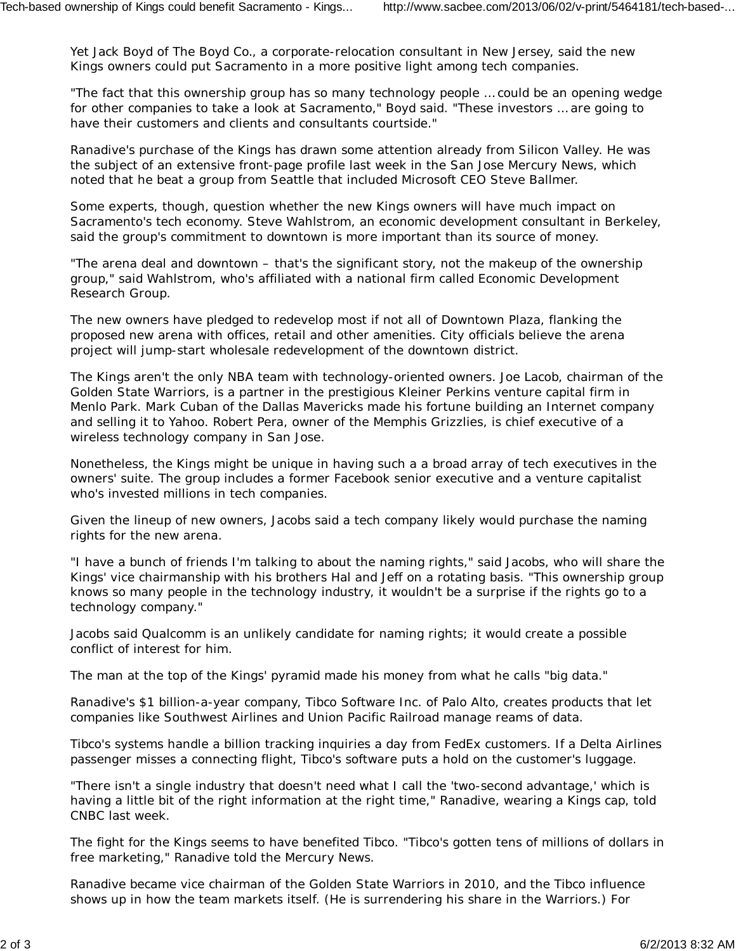Yet Jack Boyd of The Boyd Co., a corporate-relocation consultant in New Jersey, said the new Kings owners could put Sacramento in a more positive light among tech companies.

"The fact that this ownership group has so many technology people … could be an opening wedge for other companies to take a look at Sacramento," Boyd said. "These investors … are going to have their customers and clients and consultants courtside."

Ranadive's purchase of the Kings has drawn some attention already from Silicon Valley. He was the subject of an extensive front-page profile last week in the San Jose Mercury News, which noted that he beat a group from Seattle that included Microsoft CEO Steve Ballmer.

Some experts, though, question whether the new Kings owners will have much impact on Sacramento's tech economy. Steve Wahlstrom, an economic development consultant in Berkeley, said the group's commitment to downtown is more important than its source of money.

"The arena deal and downtown – that's the significant story, not the makeup of the ownership group," said Wahlstrom, who's affiliated with a national firm called Economic Development Research Group.

The new owners have pledged to redevelop most if not all of Downtown Plaza, flanking the proposed new arena with offices, retail and other amenities. City officials believe the arena project will jump-start wholesale redevelopment of the downtown district.

The Kings aren't the only NBA team with technology-oriented owners. Joe Lacob, chairman of the Golden State Warriors, is a partner in the prestigious Kleiner Perkins venture capital firm in Menlo Park. Mark Cuban of the Dallas Mavericks made his fortune building an Internet company and selling it to Yahoo. Robert Pera, owner of the Memphis Grizzlies, is chief executive of a wireless technology company in San Jose.

Nonetheless, the Kings might be unique in having such a a broad array of tech executives in the owners' suite. The group includes a former Facebook senior executive and a venture capitalist who's invested millions in tech companies.

Given the lineup of new owners, Jacobs said a tech company likely would purchase the naming rights for the new arena.

"I have a bunch of friends I'm talking to about the naming rights," said Jacobs, who will share the Kings' vice chairmanship with his brothers Hal and Jeff on a rotating basis. "This ownership group knows so many people in the technology industry, it wouldn't be a surprise if the rights go to a technology company."

Jacobs said Qualcomm is an unlikely candidate for naming rights; it would create a possible conflict of interest for him.

The man at the top of the Kings' pyramid made his money from what he calls "big data."

Ranadive's \$1 billion-a-year company, Tibco Software Inc. of Palo Alto, creates products that let companies like Southwest Airlines and Union Pacific Railroad manage reams of data.

Tibco's systems handle a billion tracking inquiries a day from FedEx customers. If a Delta Airlines passenger misses a connecting flight, Tibco's software puts a hold on the customer's luggage.

"There isn't a single industry that doesn't need what I call the 'two-second advantage,' which is having a little bit of the right information at the right time," Ranadive, wearing a Kings cap, told CNBC last week.

The fight for the Kings seems to have benefited Tibco. "Tibco's gotten tens of millions of dollars in free marketing," Ranadive told the Mercury News.

Ranadive became vice chairman of the Golden State Warriors in 2010, and the Tibco influence shows up in how the team markets itself. (He is surrendering his share in the Warriors.) For